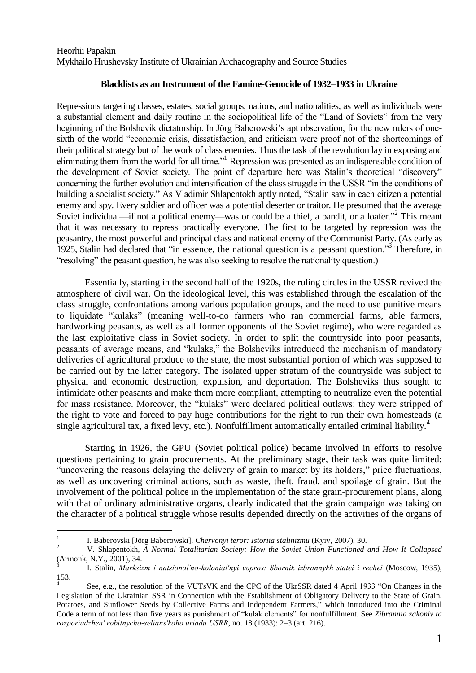Heorhii Papakin Mykhailo Hrushevsky Institute of Ukrainian Archaeography and Source Studies

## **Blacklists as an Instrument of the Famine-Genocide of 1932–1933 in Ukraine**

Repressions targeting classes, estates, social groups, nations, and nationalities, as well as individuals were a substantial element and daily routine in the sociopolitical life of the "Land of Soviets" from the very beginning of the Bolshevik dictatorship. In Jörg Baberowski's apt observation, for the new rulers of onesixth of the world "economic crisis, dissatisfaction, and criticism were proof not of the shortcomings of their political strategy but of the work of class enemies. Thus the task of the revolution lay in exposing and eliminating them from the world for all time."<sup>1</sup> Repression was presented as an indispensable condition of the development of Soviet society. The point of departure here was Stalin's theoretical "discovery" concerning the further evolution and intensification of the class struggle in the USSR "in the conditions of building a socialist society." As Vladimir Shlapentokh aptly noted, "Stalin saw in each citizen a potential enemy and spy. Every soldier and officer was a potential deserter or traitor. He presumed that the average Soviet individual—if not a political enemy—was or could be a thief, a bandit, or a loafer."<sup>2</sup> This meant that it was necessary to repress practically everyone. The first to be targeted by repression was the peasantry, the most powerful and principal class and national enemy of the Communist Party. (As early as 1925, Stalin had declared that "in essence, the national question is a peasant question."<sup>3</sup> Therefore, in "resolving" the peasant question, he was also seeking to resolve the nationality question.)

Essentially, starting in the second half of the 1920s, the ruling circles in the USSR revived the atmosphere of civil war. On the ideological level, this was established through the escalation of the class struggle, confrontations among various population groups, and the need to use punitive means to liquidate "kulaks" (meaning well-to-do farmers who ran commercial farms, able farmers, hardworking peasants, as well as all former opponents of the Soviet regime), who were regarded as the last exploitative class in Soviet society. In order to split the countryside into poor peasants, peasants of average means, and "kulaks," the Bolsheviks introduced the mechanism of mandatory deliveries of agricultural produce to the state, the most substantial portion of which was supposed to be carried out by the latter category. The isolated upper stratum of the countryside was subject to physical and economic destruction, expulsion, and deportation. The Bolsheviks thus sought to intimidate other peasants and make them more compliant, attempting to neutralize even the potential for mass resistance. Moreover, the "kulaks" were declared political outlaws: they were stripped of the right to vote and forced to pay huge contributions for the right to run their own homesteads (a single agricultural tax, a fixed levy, etc.). Nonfulfillment automatically entailed criminal liability.<sup>4</sup>

Starting in 1926, the GPU (Soviet political police) became involved in efforts to resolve questions pertaining to grain procurements. At the preliminary stage, their task was quite limited: "uncovering the reasons delaying the delivery of grain to market by its holders," price fluctuations, as well as uncovering criminal actions, such as waste, theft, fraud, and spoilage of grain. But the involvement of the political police in the implementation of the state grain-procurement plans, along with that of ordinary administrative organs, clearly indicated that the grain campaign was taking on the character of a political struggle whose results depended directly on the activities of the organs of

 $\frac{1}{1}$ I. Baberovski [Jörg Baberowski], *Chervonyi teror: Istoriia stalinizmu* (Kyiv, 2007), 30.

<sup>2</sup> V. Shlapentokh, *A Normal Totalitarian Society: How the Soviet Union Functioned and How It Collapsed* (Armonk, N.Y., 2001), 34.

<sup>3</sup> I. Stalin, *Marksizm i natsional′no-kolonial′nyi vopros: Sbornik izbrannykh statei i rechei* (Moscow, 1935), 153. 4

See, e.g., the resolution of the VUTsVK and the CPC of the UkrSSR dated 4 April 1933 "On Changes in the Legislation of the Ukrainian SSR in Connection with the Establishment of Obligatory Delivery to the State of Grain, Potatoes, and Sunflower Seeds by Collective Farms and Independent Farmers," which introduced into the Criminal Code a term of not less than five years as punishment of "kulak elements" for nonfulfillment. See *Zibrannia zakoniv ta rozporiadzhen′ robitnycho-selians′koho uriadu USRR*, no. 18 (1933): 2–3 (art. 216).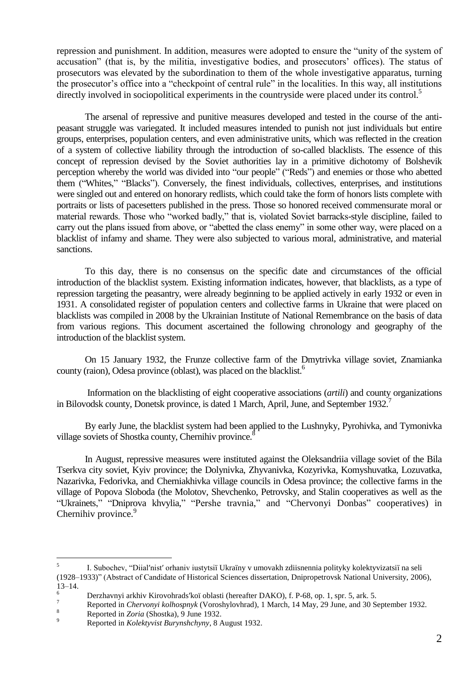repression and punishment. In addition, measures were adopted to ensure the "unity of the system of accusation" (that is, by the militia, investigative bodies, and prosecutors' offices). The status of prosecutors was elevated by the subordination to them of the whole investigative apparatus, turning the prosecutor's office into a "checkpoint of central rule" in the localities. In this way, all institutions directly involved in sociopolitical experiments in the countryside were placed under its control.<sup>5</sup>

The arsenal of repressive and punitive measures developed and tested in the course of the antipeasant struggle was variegated. It included measures intended to punish not just individuals but entire groups, enterprises, population centers, and even administrative units, which was reflected in the creation of a system of collective liability through the introduction of so-called blacklists. The essence of this concept of repression devised by the Soviet authorities lay in a primitive dichotomy of Bolshevik perception whereby the world was divided into "our people" ("Reds") and enemies or those who abetted them ("Whites," "Blacks"). Conversely, the finest individuals, collectives, enterprises, and institutions were singled out and entered on honorary redlists, which could take the form of honors lists complete with portraits or lists of pacesetters published in the press. Those so honored received commensurate moral or material rewards. Those who "worked badly," that is, violated Soviet barracks-style discipline, failed to carry out the plans issued from above, or "abetted the class enemy" in some other way, were placed on a blacklist of infamy and shame. They were also subjected to various moral, administrative, and material sanctions.

To this day, there is no consensus on the specific date and circumstances of the official introduction of the blacklist system. Existing information indicates, however, that blacklists, as a type of repression targeting the peasantry, were already beginning to be applied actively in early 1932 or even in 1931. A consolidated register of population centers and collective farms in Ukraine that were placed on blacklists was compiled in 2008 by the Ukrainian Institute of National Remembrance on the basis of data from various regions. This document ascertained the following chronology and geography of the introduction of the blacklist system.

On 15 January 1932, the Frunze collective farm of the Dmytrivka village soviet, Znamianka county (raion), Odesa province (oblast), was placed on the blacklist.<sup>6</sup>

Information on the blacklisting of eight cooperative associations (*artili*) and county organizations in Bilovodsk county, Donetsk province, is dated 1 March, April, June, and September 1932.<sup>7</sup>

By early June, the blacklist system had been applied to the Lushnyky, Pyrohivka, and Tymonivka village soviets of Shostka county, Chernihiv province.<sup>8</sup>

In August, repressive measures were instituted against the Oleksandriia village soviet of the Bila Tserkva city soviet, Kyiv province; the Dolynivka, Zhyvanivka, Kozyrivka, Komyshuvatka, Lozuvatka, Nazarivka, Fedorivka, and Cherniakhivka village councils in Odesa province; the collective farms in the village of Popova Sloboda (the Molotov, Shevchenko, Petrovsky, and Stalin cooperatives as well as the "Ukrainets," "Dniprova khvylia," "Pershe travnia," and "Chervonyi Donbas" cooperatives) in Chernihiv province.<sup>9</sup>

 $\frac{1}{5}$ I. Subochev, ―Diial′nist′ orhaniv iustytsiї Ukraїny v umovakh zdiisnennia polityky kolektyvizatsiї na seli (1928–1933)‖ (Abstract of Candidate of Historical Sciences dissertation, Dnipropetrovsk National University, 2006),  $13-14.$ 

<sup>&</sup>lt;sup>6</sup> Derzhavnyi arkhiv Kirovohrads'koï oblasti (hereafter DAKO), f. P-68, op. 1, spr. 5, ark. 5.

<sup>&</sup>lt;sup>7</sup> Reported in *Chervonyi kolhospnyk* (Voroshylovhrad), 1 March, 14 May, 29 June, and 30 September 1932.

 $\frac{8}{9}$  Reported in *Zoria* (Shostka), 9 June 1932.

<sup>9</sup> Reported in *Kolektyvist Burynshchyny*, 8 August 1932.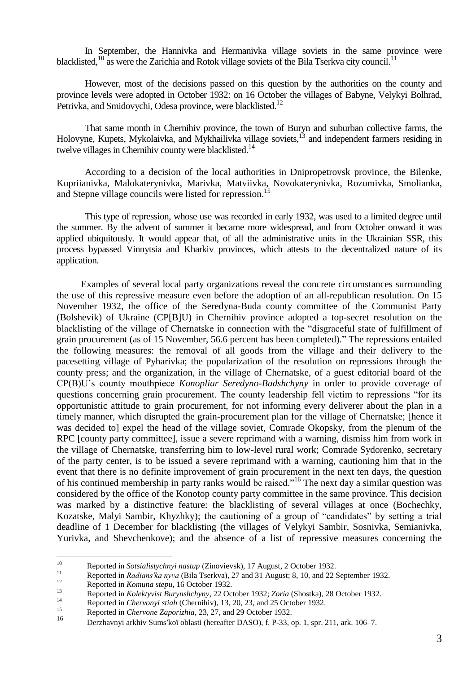In September, the Hannivka and Hermanivka village soviets in the same province were blacklisted, <sup>10</sup> as were the Zarichia and Rotok village soviets of the Bila Tserkva city council.<sup>11</sup>

However, most of the decisions passed on this question by the authorities on the county and province levels were adopted in October 1932: on 16 October the villages of Babyne, Velykyi Bolhrad, Petrivka, and Smidovychi, Odesa province, were blacklisted.<sup>12</sup>

That same month in Chernihiv province, the town of Buryn and suburban collective farms, the Holovyne, Kupets, Mykolaivka, and Mykhailivka village soviets,<sup>13</sup> and independent farmers residing in twelve villages in Chernihiv county were blacklisted.<sup>14</sup>

According to a decision of the local authorities in Dnipropetrovsk province, the Bilenke, Kupriianivka, Malokaterynivka, Marivka, Matviivka, Novokaterynivka, Rozumivka, Smolianka, and Stepne village councils were listed for repression.<sup>15</sup>

This type of repression, whose use was recorded in early 1932, was used to a limited degree until the summer. By the advent of summer it became more widespread, and from October onward it was applied ubiquitously. It would appear that, of all the administrative units in the Ukrainian SSR, this process bypassed Vinnytsia and Kharkiv provinces, which attests to the decentralized nature of its application.

Examples of several local party organizations reveal the concrete circumstances surrounding the use of this repressive measure even before the adoption of an all-republican resolution. On 15 November 1932, the office of the Seredyna-Buda county committee of the Communist Party (Bolshevik) of Ukraine (CP[B]U) in Chernihiv province adopted a top-secret resolution on the blacklisting of the village of Chernatske in connection with the "disgraceful state of fulfillment of grain procurement (as of 15 November, 56.6 percent has been completed)." The repressions entailed the following measures: the removal of all goods from the village and their delivery to the pacesetting village of Pyharivka; the popularization of the resolution on repressions through the county press; and the organization, in the village of Chernatske, of a guest editorial board of the CP(B)U's county mouthpiece *Konopliar Seredyno-Budshchyny* in order to provide coverage of questions concerning grain procurement. The county leadership fell victim to repressions "for its opportunistic attitude to grain procurement, for not informing every deliverer about the plan in a timely manner, which disrupted the grain-procurement plan for the village of Chernatske; [hence it was decided to] expel the head of the village soviet, Comrade Okopsky, from the plenum of the RPC [county party committee], issue a severe reprimand with a warning, dismiss him from work in the village of Chernatske, transferring him to low-level rural work; Comrade Sydorenko, secretary of the party center, is to be issued a severe reprimand with a warning, cautioning him that in the event that there is no definite improvement of grain procurement in the next ten days, the question of his continued membership in party ranks would be raised."<sup>16</sup> The next day a similar question was considered by the office of the Konotop county party committee in the same province. This decision was marked by a distinctive feature: the blacklisting of several villages at once (Bochechky, Kozatske, Malyi Sambir, Khyzhky); the cautioning of a group of "candidates" by setting a trial deadline of 1 December for blacklisting (the villages of Velykyi Sambir, Sosnivka, Semianivka, Yurivka, and Shevchenkove); and the absence of a list of repressive measures concerning the

 $10\,$ <sup>10</sup> Reported in *Sotsialistychnyi nastup* (Zinovievsk), 17 August, 2 October 1932.

<sup>&</sup>lt;sup>11</sup> Reported in *Radians'ka nyva* (Bila Tserkva), 27 and 31 August; 8, 10, and 22 September 1932.

<sup>&</sup>lt;sup>12</sup> Reported in *Komuna stepu*, 16 October 1932.

<sup>13</sup> Reported in *Kolektyvist Burynshchyny*, 22 October 1932; *Zoria* (Shostka), 28 October 1932.

<sup>&</sup>lt;sup>14</sup> Reported in *Chervonyi stiah* (Chernihiv), 13, 20, 23, and 25 October 1932.

<sup>&</sup>lt;sup>15</sup> Reported in *Chervone Zaporizhia*, 23, 27, and 29 October 1932.

<sup>16</sup> Derzhavnyi arkhiv Sums′koї oblasti (hereafter DASO), f. P-33, op. 1, spr. 211, ark. 106–7.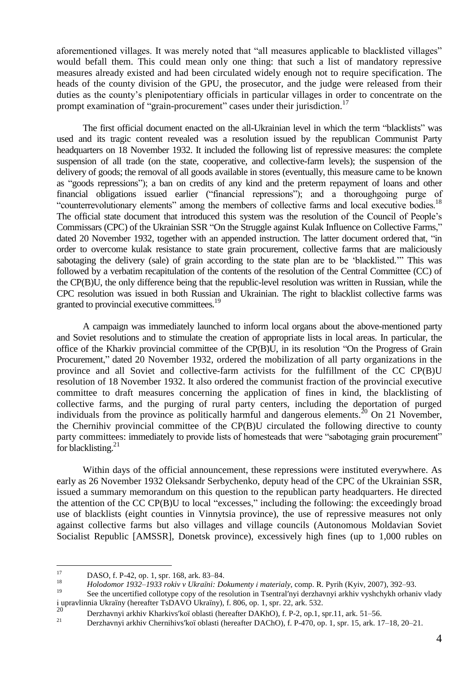aforementioned villages. It was merely noted that "all measures applicable to blacklisted villages" would befall them. This could mean only one thing: that such a list of mandatory repressive measures already existed and had been circulated widely enough not to require specification. The heads of the county division of the GPU, the prosecutor, and the judge were released from their duties as the county's plenipotentiary officials in particular villages in order to concentrate on the prompt examination of "grain-procurement" cases under their jurisdiction.<sup>17</sup>

The first official document enacted on the all-Ukrainian level in which the term "blacklists" was used and its tragic content revealed was a resolution issued by the republican Communist Party headquarters on 18 November 1932. It included the following list of repressive measures: the complete suspension of all trade (on the state, cooperative, and collective-farm levels); the suspension of the delivery of goods; the removal of all goods available in stores (eventually, this measure came to be known as "goods repressions"); a ban on credits of any kind and the preterm repayment of loans and other financial obligations issued earlier ("financial repressions"); and a thoroughgoing purge of "counterrevolutionary elements" among the members of collective farms and local executive bodies.<sup>18</sup> The official state document that introduced this system was the resolution of the Council of People's Commissars (CPC) of the Ukrainian SSR "On the Struggle against Kulak Influence on Collective Farms," dated 20 November 1932, together with an appended instruction. The latter document ordered that, "in order to overcome kulak resistance to state grain procurement, collective farms that are maliciously sabotaging the delivery (sale) of grain according to the state plan are to be 'blacklisted.'" This was followed by a verbatim recapitulation of the contents of the resolution of the Central Committee (CC) of the CP(B)U, the only difference being that the republic-level resolution was written in Russian, while the CPC resolution was issued in both Russian and Ukrainian. The right to blacklist collective farms was granted to provincial executive committees.<sup>19</sup>

A campaign was immediately launched to inform local organs about the above-mentioned party and Soviet resolutions and to stimulate the creation of appropriate lists in local areas. In particular, the office of the Kharkiv provincial committee of the CP(B)U, in its resolution "On the Progress of Grain Procurement," dated 20 November 1932, ordered the mobilization of all party organizations in the province and all Soviet and collective-farm activists for the fulfillment of the CC CP(B)U resolution of 18 November 1932. It also ordered the communist fraction of the provincial executive committee to draft measures concerning the application of fines in kind, the blacklisting of collective farms, and the purging of rural party centers, including the deportation of purged individuals from the province as politically harmful and dangerous elements.<sup>20</sup> On 21 November. the Chernihiv provincial committee of the CP(B)U circulated the following directive to county party committees: immediately to provide lists of homesteads that were "sabotaging grain procurement" for blacklisting. $^{21}$ 

Within days of the official announcement, these repressions were instituted everywhere. As early as 26 November 1932 Oleksandr Serbychenko, deputy head of the CPC of the Ukrainian SSR, issued a summary memorandum on this question to the republican party headquarters. He directed the attention of the CC CP(B)U to local "excesses," including the following: the exceedingly broad use of blacklists (eight counties in Vinnytsia province), the use of repressive measures not only against collective farms but also villages and village councils (Autonomous Мoldavian Soviet Socialist Republic [AMSSR], Donetsk province), excessively high fines (up to 1,000 rubles on

<sup>17</sup>  $17 \qquad \qquad$  DASO, f. P-42, op. 1, spr. 168, ark. 83–84.

<sup>&</sup>lt;sup>18</sup> *Holodomor* 1932–1933 rokiv v Ukraïni: Dokumenty *i* materialy, comp. R. Pyrih (Kyiv, 2007), 392–93.

See the uncertified collotype copy of the resolution in Tsentral'nyi derzhavnyi arkhiv vyshchykh orhaniv vlady і upravlinnia Ukraїny (hereafter TsDAVO Ukraїny), f. 806, op. 1, spr. 22, ark. 532.

<sup>&</sup>lt;sup>20</sup> Derzhavnyi arkhiv Kharkivs'koï oblasti (hereafter DAKhO), f. P-2, op.1, spr.11, ark. 51–56.<br>Pershavnyi arkhiv Chamibiya'lgi oblasti (hereafter DAChO), f. P. 470, op. 1, spr. 15, erk. 12

<sup>21</sup> Derzhavnyi arkhiv Chernihivs′koї oblasti (hereafter DAChO), f. P-470, op. 1, spr. 15, ark. 17–18, 20–21.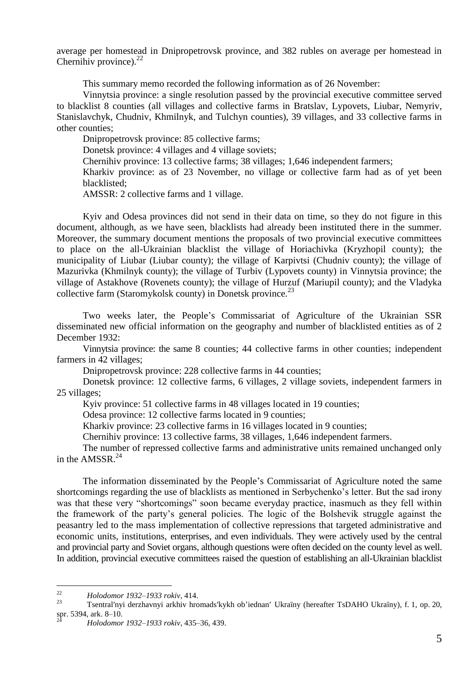average per homestead in Dnipropetrovsk province, and 382 rubles on average per homestead in Chernihiv province). $^{22}$ 

This summary memo recorded the following information as of 26 November:

Vinnytsia province: a single resolution passed by the provincial executive committee served to blacklist 8 counties (all villages and collective farms in Bratslav, Lypovets, Liubar, Nemyriv, Stanislavchyk, Chudniv, Khmilnyk, and Tulchyn counties), 39 villages, and 33 collective farms in other counties;

Dnipropetrovsk province: 85 collective farms;

Donetsk province: 4 villages and 4 village soviets;

Chernihiv province: 13 collective farms; 38 villages; 1,646 independent farmers;

Kharkiv province: as of 23 November, no village or collective farm had as of yet been blacklisted;

АMSSR: 2 collective farms and 1 village.

Kyiv and Odesa provinces did not send in their data on time, so they do not figure in this document, although, as we have seen, blacklists had already been instituted there in the summer. Moreover, the summary document mentions the proposals of two provincial executive committees to place on the all-Ukrainian blacklist the village of Horiachivka (Kryzhopil county); the municipality of Liubar (Liubar county); the village of Karpivtsi (Chudniv county); the village of Mazurivka (Khmilnyk county); the village of Turbiv (Lypovets county) in Vinnytsia province; the village of Astakhove (Rovenets county); the village of Hurzuf (Mariupil county); and the Vladyka collective farm (Staromykolsk county) in Donetsk province. $^{23}$ 

Two weeks later, the People's Commissariat of Agriculture of the Ukrainian SSR disseminated new official information on the geography and number of blacklisted entities as of 2 December 1932:

Vinnytsia province: the same 8 counties; 44 collective farms in other counties; independent farmers in 42 villages;

Dnipropetrovsk province: 228 collective farms in 44 counties;

Donetsk province: 12 collective farms, 6 villages, 2 village soviets, independent farmers in 25 villages;

Kyiv province: 51 collective farms in 48 villages located in 19 counties;

Odesa province: 12 collective farms located in 9 counties;

Kharkiv province: 23 collective farms in 16 villages located in 9 counties;

Chernihiv province: 13 collective farms, 38 villages, 1,646 independent farmers.

The number of repressed collective farms and administrative units remained unchanged only in the AMSSR. $^{24}$ 

The information disseminated by the People's Commissariat of Agriculture noted the same shortcomings regarding the use of blacklists as mentioned in Serbychenko's letter. But the sad irony was that these very "shortcomings" soon became everyday practice, inasmuch as they fell within the framework of the party's general policies. The logic of the Bolshevik struggle against the peasantry led to the mass implementation of collective repressions that targeted administrative and economic units, institutions, enterprises, and even individuals. They were actively used by the central and provincial party and Soviet organs, although questions were often decided on the county level as well. In addition, provincial executive committees raised the question of establishing an all-Ukrainian blacklist

 $\mathfrak{D}$ <sup>22</sup> *Holodomor 1932–1933 rokiv*, 414.

<sup>23</sup> Tsentral′nyi derzhavnyi arkhiv hromads′kykh ob'iednan′ Ukraїny (hereafter TsDAHO Ukraїny), f. 1, op. 20, spr. 5394, ark. 8–10.

<sup>24</sup> *Holodomor 1932–1933 rokiv*, 435–36, 439.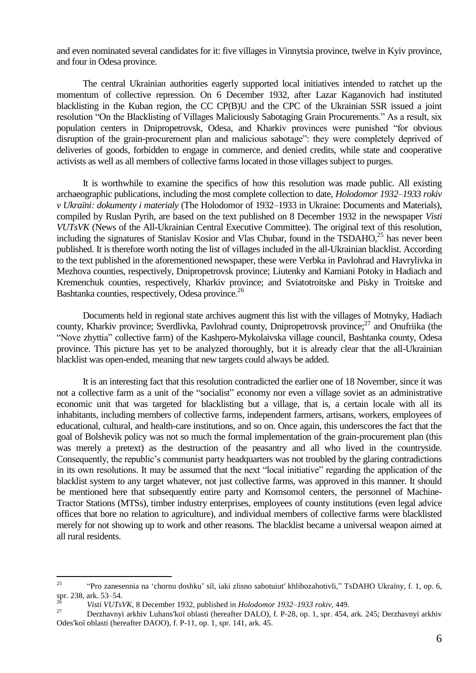and even nominated several candidates for it: five villages in Vinnytsia province, twelve in Kyiv province, and four in Odesa province.

The central Ukrainian authorities eagerly supported local initiatives intended to ratchet up the momentum of collective repression. On 6 December 1932, after Lazar Kaganovich had instituted blacklisting in the Kuban region, the CC CP(B)U and the CPC of the Ukrainian SSR issued a joint resolution "On the Blacklisting of Villages Maliciously Sabotaging Grain Procurements." As a result, six population centers in Dnipropetrovsk, Odesa, and Kharkiv provinces were punished "for obvious disruption of the grain-procurement plan and malicious sabotage": they were completely deprived of deliveries of goods, forbidden to engage in commerce, and denied credits, while state and cooperative activists as well as all members of collective farms located in those villages subject to purges.

It is worthwhile to examine the specifics of how this resolution was made public. All existing archaeographic publications, including the most complete collection to date, *Holodomor 1932–1933 rokiv v Ukraїni: dokumenty і materialy* (The Holodomor of 1932–1933 in Ukraine: Documents and Materials), compiled by Ruslan Pyrih, are based on the text published on 8 December 1932 in the newspaper *Visti VUTsVK* (News of the All-Ukrainian Central Executive Committee). The original text of this resolution, including the signatures of Stanislav Kosior and Vlas Chubar, found in the TSDAHO, $^{25}$  has never been published. It is therefore worth noting the list of villages included in the all-Ukrainian blacklist. According to the text published in the aforementioned newspaper, these were Verbka in Pavlohrad and Havrylivka in Mezhova counties, respectively, Dnipropetrovsk province; Liutenky and Kamiani Potoky in Hadiach and Kremenchuk counties, respectively, Kharkiv province; and Sviatotroitske and Pisky in Troitske and Bashtanka counties, respectively, Odesa province.<sup>26</sup>

Documents held in regional state archives augment this list with the villages of Motnyky, Hadiach county, Kharkiv province; Sverdlivka, Pavlohrad county, Dnipropetrovsk province; $^{27}$  and Onufriika (the "Nove zhyttia" collective farm) of the Kashpero-Mykolaivska village council, Bashtanka county, Odesa province. This picture has yet to be analyzed thoroughly, but it is already clear that the all-Ukrainian blacklist was open-ended, meaning that new targets could always be added.

It is an interesting fact that this resolution contradicted the earlier one of 18 November, since it was not a collective farm as a unit of the "socialist" economy nor even a village soviet as an administrative economic unit that was targeted for blacklisting but a village, that is, a certain locale with all its inhabitants, including members of collective farms, independent farmers, artisans, workers, employees of educational, cultural, and health-care institutions, and so on. Once again, this underscores the fact that the goal of Bolshevik policy was not so much the formal implementation of the grain-procurement plan (this was merely a pretext) as the destruction of the peasantry and all who lived in the countryside. Consequently, the republic's communist party headquarters was not troubled by the glaring contradictions in its own resolutions. It may be assumed that the next "local initiative" regarding the application of the blacklist system to any target whatever, not just collective farms, was approved in this manner. It should be mentioned here that subsequently entire party and Komsomol centers, the personnel of Machine-Tractor Stations (MTSs), timber industry enterprises, employees of county institutions (even legal advice offices that bore no relation to agriculture), and individual members of collective farms were blacklisted merely for not showing up to work and other reasons. The blacklist became a universal weapon aimed at all rural residents.

<sup>25</sup> <sup>25</sup> ―Pro zanesennia na ‗chornu doshku' sil, iaki zlisno sabotuiut′ khlibozahotivli,‖ TsDAHO Ukraïny, f. 1, op. 6, spr. 238, ark. 53–54.

<sup>26</sup> *Visti VUTsVK*, 8 December 1932, published in *Holodomor 1932–1933 rokiv*, 449.

<sup>27</sup> Derzhavnyi arkhiv Luhans′koї oblasti (hereafter DALO), f. P-28, op. 1, spr. 454, ark. 245; Derzhavnyi arkhiv Odes′koї oblasti (hereafter DAOO), f. P-11, op. 1, spr. 141, ark. 45.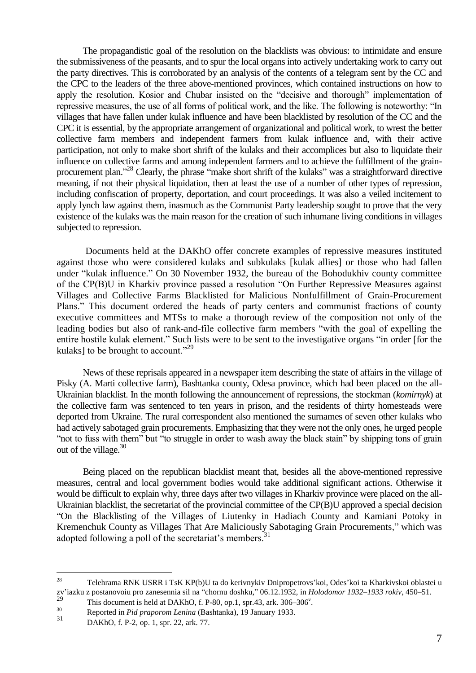The propagandistic goal of the resolution on the blacklists was obvious: to intimidate and ensure the submissiveness of the peasants, and to spur the local organs into actively undertaking work to carry out the party directives. This is corroborated by an analysis of the contents of a telegram sent by the CC and the CPC to the leaders of the three above-mentioned provinces, which contained instructions on how to apply the resolution. Kosior and Chubar insisted on the "decisive and thorough" implementation of repressive measures, the use of all forms of political work, and the like. The following is noteworthy: "In villages that have fallen under kulak influence and have been blacklisted by resolution of the CC and the CPC it is essential, by the appropriate arrangement of organizational and political work, to wrest the better collective farm members and independent farmers from kulak influence and, with their active participation, not only to make short shrift of the kulaks and their accomplices but also to liquidate their influence on collective farms and among independent farmers and to achieve the fulfillment of the grainprocurement plan."<sup>28</sup> Clearly, the phrase "make short shrift of the kulaks" was a straightforward directive meaning, if not their physical liquidation, then at least the use of a number of other types of repression, including confiscation of property, deportation, and court proceedings. It was also a veiled incitement to apply lynch law against them, inasmuch as the Communist Party leadership sought to prove that the very existence of the kulaks was the main reason for the creation of such inhumane living conditions in villages subjected to repression.

Documents held at the DAKhO offer concrete examples of repressive measures instituted against those who were considered kulaks and subkulaks [kulak allies] or those who had fallen under "kulak influence." On 30 November 1932, the bureau of the Bohodukhiv county committee of the CP(B)U in Kharkiv province passed a resolution "On Further Repressive Measures against Villages and Collective Farms Blacklisted for Malicious Nonfulfillment of Grain-Procurement Plans." This document ordered the heads of party centers and communist fractions of county executive committees and MTSs to make a thorough review of the composition not only of the leading bodies but also of rank-and-file collective farm members "with the goal of expelling the entire hostile kulak element." Such lists were to be sent to the investigative organs "in order [for the kulaks] to be brought to account." $29$ 

News of these reprisals appeared in a newspaper item describing the state of affairs in the village of Pisky (A. Marti collective farm), Bashtanka county, Odesa province, which had been placed on the all-Ukrainian blacklist. In the month following the announcement of repressions, the stockman (*komirnyk*) at the collective farm was sentenced to ten years in prison, and the residents of thirty homesteads were deported from Ukraine. The rural correspondent also mentioned the surnames of seven other kulaks who had actively sabotaged grain procurements. Emphasizing that they were not the only ones, he urged people "not to fuss with them" but "to struggle in order to wash away the black stain" by shipping tons of grain out of the village.<sup>30</sup>

Being placed on the republican blacklist meant that, besides all the above-mentioned repressive measures, central and local government bodies would take additional significant actions. Otherwise it would be difficult to explain why, three days after two villages in Kharkiv province were placed on the all-Ukrainian blacklist, the secretariat of the provincial committee of the CP(B)U approved a special decision ―On the Blacklisting of the Villages of Liutenky in Hadiach County and Kamiani Potoky in Kremenchuk County as Villages That Are Maliciously Sabotaging Grain Procurements," which was adopted following a poll of the secretariat's members.<sup>31</sup>

<sup>28</sup> <sup>28</sup> Telehrama RNK USRR i TsK KP(b)U ta do kerivnykiv Dnipropetrovs'koi, Odes'koi ta Kharkivskoi oblastei u zv'iazku z postanovoiu pro zanesennia sil na "chornu doshku," 06.12.1932, in *Holodomor 1932–1933 rokiv*, 450–51.<br><sup>29</sup>

 $29$  This document is held at DAKhO, f. P-80, op.1, spr.43, ark. 306–306<sup>v</sup>.

<sup>30</sup> Reported in *Pid praporom Lenina* (Bashtanka), 19 January 1933.

DAKhO, f. P-2, op. 1, spr. 22, ark. 77.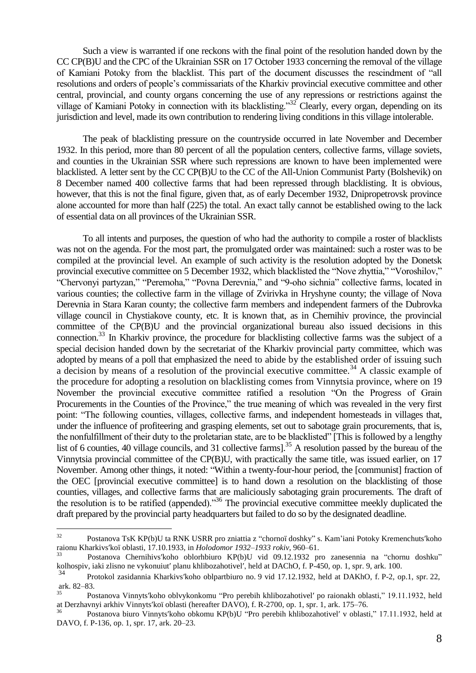Such a view is warranted if one reckons with the final point of the resolution handed down by the CC CP(B)U and the CPC of the Ukrainian SSR on 17 October 1933 concerning the removal of the village of Kamiani Potoky from the blacklist. This part of the document discusses the rescindment of "all resolutions and orders of people's commissariats of the Kharkiv provincial executive committee and other central, provincial, and county organs concerning the use of any repressions or restrictions against the village of Kamiani Potoky in connection with its blacklisting.<sup>32</sup> Clearly, every organ, depending on its jurisdiction and level, made its own contribution to rendering living conditions in this village intolerable.

The peak of blacklisting pressure on the countryside occurred in late November and December 1932. In this period, more than 80 percent of all the population centers, collective farms, village soviets, and counties in the Ukrainian SSR where such repressions are known to have been implemented were blacklisted. A letter sent by the CC CP(B)U to the CC of the All-Union Communist Party (Bolshevik) on 8 December named 400 collective farms that had been repressed through blacklisting. It is obvious, however, that this is not the final figure, given that, as of early December 1932, Dnipropetrovsk province alone accounted for more than half (225) the total. An exact tally cannot be established owing to the lack of essential data on all provinces of the Ukrainian SSR.

To all intents and purposes, the question of who had the authority to compile a roster of blacklists was not on the agenda. For the most part, the promulgated order was maintained: such a roster was to be compiled at the provincial level. An example of such activity is the resolution adopted by the Donetsk provincial executive committee on 5 December 1932, which blacklisted the "Nove zhyttia," "Voroshilov," "Chervonyi partyzan," "Peremoha," "Povna Derevnia," and "9-oho sichnia" collective farms, located in various counties; the collective farm in the village of Zvirivka in Hryshyne county; the village of Nova Derevnia in Stara Karan county; the collective farm members and independent farmers of the Dubrovka village council in Chystiakove county, etc. It is known that, as in Chernihiv province, the provincial committee of the CP(B)U and the provincial organizational bureau also issued decisions in this connection.<sup>33</sup> In Kharkiv province, the procedure for blacklisting collective farms was the subject of a special decision handed down by the secretariat of the Kharkiv provincial party committee, which was adopted by means of a poll that emphasized the need to abide by the established order of issuing such a decision by means of a resolution of the provincial executive committee.<sup>34</sup> A classic example of the procedure for adopting a resolution on blacklisting comes from Vinnytsia province, where on 19 November the provincial executive committee ratified a resolution "On the Progress of Grain Procurements in the Counties of the Province," the true meaning of which was revealed in the very first point: "The following counties, villages, collective farms, and independent homesteads in villages that, under the influence of profiteering and grasping elements, set out to sabotage grain procurements, that is, the nonfulfillment of their duty to the proletarian state, are to be blacklisted" [This is followed by a lengthy list of 6 counties, 40 village councils, and 31 collective farms].<sup>35</sup> A resolution passed by the bureau of the Vinnytsia provincial committee of the CP(B)U, with practically the same title, was issued earlier, on 17 November. Among other things, it noted: "Within a twenty-four-hour period, the [communist] fraction of the OEC [provincial executive committee] is to hand down a resolution on the blacklisting of those counties, villages, and collective farms that are maliciously sabotaging grain procurements. The draft of the resolution is to be ratified (appended). $36$  The provincial executive committee meekly duplicated the draft prepared by the provincial party headquarters but failed to do so by the designated deadline.

 $32$ Postanova TsK KP(b)U ta RNK USRR pro zniattia z "chornoï doshky" s. Kam'iani Potoky Kremenchuts'koho raionu Kharkivs′koї oblasti, 17.10.1933, in *Holodomor 1932–1933 rokiv*, 960–61.

Postanova Chernihivs'koho oblorhbiuro KP(b)U vid 09.12.1932 pro zanesennia na "chornu doshku" kolhospiv, iaki zlisno ne vykonuiut′ planu khlibozahotivel′, held at DAChO, f. P-450, op. 1, spr. 9, ark. 100.

<sup>34</sup> Protokol zasidannia Kharkivs′koho oblpartbiuro no. 9 vid 17.12.1932, held at DAKhO, f. P-2, op.1, spr. 22, ark. 82–83.

Postanova Vinnyts'koho oblvykonkomu "Pro perebih khlibozahotivel' po raionakh oblasti," 19.11.1932, held at Derzhavnyi arkhiv Vinnyts′koï oblasti (hereafter DAVO), f. R-2700, op. 1, spr. 1, ark. 175–76.

Postanova biuro Vinnyts'koho obkomu KP(b)U "Pro perebih khlibozahotivel' v oblasti," 17.11.1932, held at DAVO, f. P-136, op. 1, spr. 17, ark. 20–23.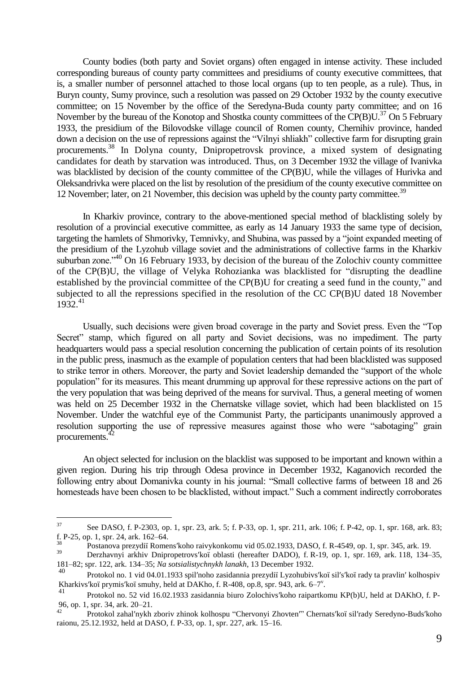County bodies (both party and Soviet organs) often engaged in intense activity. These included corresponding bureaus of county party committees and presidiums of county executive committees, that is, a smaller number of personnel attached to those local organs (up to ten people, as a rule). Thus, in Buryn county, Sumy province, such a resolution was passed on 29 October 1932 by the county executive committee; on 15 November by the office of the Seredyna-Buda county party committee; and on 16 November by the bureau of the Konotop and Shostka county committees of the CP(B)U.<sup>37</sup> On 5 February 1933, the presidium of the Bilovodske village council of Romen county, Chernihiv province, handed down a decision on the use of repressions against the "Vilnyi shliakh" collective farm for disrupting grain procurements.<sup>38</sup> In Dolyna county, Dnipropetrovsk province, a mixed system of designating candidates for death by starvation was introduced. Thus, on 3 December 1932 the village of Ivanivka was blacklisted by decision of the county committee of the CP(B)U, while the villages of Hurivka and Oleksandrivka were placed on the list by resolution of the presidium of the county executive committee on 12 November; later, on 21 November, this decision was upheld by the county party committee.<sup>39</sup>

In Kharkiv province, contrary to the above-mentioned special method of blacklisting solely by resolution of a provincial executive committee, as early as 14 January 1933 the same type of decision, targeting the hamlets of Shmorivky, Temnivky, and Shubina, was passed by a "joint expanded meeting of the presidium of the Lyzohub village soviet and the administrations of collective farms in the Kharkiv suburban zone.<sup> $,40$ </sup> On 16 February 1933, by decision of the bureau of the Zolochiv county committee of the CP(B)U, the village of Velyka Rohozianka was blacklisted for "disrupting the deadline established by the provincial committee of the  $CP(B)U$  for creating a seed fund in the county," and subjected to all the repressions specified in the resolution of the CC CP(B)U dated 18 November  $1932^{41}$ 

Usually, such decisions were given broad coverage in the party and Soviet press. Even the "Top" Secret" stamp, which figured on all party and Soviet decisions, was no impediment. The party headquarters would pass a special resolution concerning the publication of certain points of its resolution in the public press, inasmuch as the example of population centers that had been blacklisted was supposed to strike terror in others. Moreover, the party and Soviet leadership demanded the "support of the whole population" for its measures. This meant drumming up approval for these repressive actions on the part of the very population that was being deprived of the means for survival. Thus, a general meeting of women was held on 25 December 1932 in the Chernatske village soviet, which had been blacklisted on 15 November. Under the watchful eye of the Communist Party, the participants unanimously approved a resolution supporting the use of repressive measures against those who were "sabotaging" grain procurements.<sup>42</sup>

An object selected for inclusion on the blacklist was supposed to be important and known within a given region. During his trip through Odesa province in December 1932, Kaganovich recorded the following entry about Domanivka county in his journal: "Small collective farms of between 18 and 26 homesteads have been chosen to be blacklisted, without impact." Such a comment indirectly corroborates

<sup>37</sup> See DASO, f. P-2303, op. 1, spr. 23, ark. 5; f. P-33, op. 1, spr. 211, ark. 106; f. P-42, op. 1, spr. 168, ark. 83; f. P-25, op. 1, spr. 24, ark. 162–64.

<sup>38</sup> Postanova prezydiї Romens′koho raivykonkomu vid 05.02.1933, DASO, f. R-4549, op. 1, spr. 345, ark. 19.

<sup>39</sup> Derzhavnyi arkhiv Dnipropetrovs′koї oblasti (hereafter DADO), f. R-19, op. 1, spr. 169, ark. 118, 134–35, 181–82; spr. 122, ark. 134–35; *Na sotsialistychnykh lanakh*, 13 December 1932.

<sup>40</sup> Protokol no. 1 vid 04.01.1933 spil′noho zasidannia prezydiї Lyzohubivs′koї sil′s′koї rady ta pravlin′ kolhospiv Kharkivs'koï prymis'koï smuhy, held at DAKho, f. R-408, op.8, spr. 943, ark. 6–7<sup>v</sup>.

<sup>41</sup> Protokol no. 52 vid 16.02.1933 zasidannia biuro Zolochivs′koho raipartkomu KP(b)U, held at DAKhO, f. P-96, op. 1, spr. 34, ark. 20–21.

Protokol zahal'nykh zboriv zhinok kolhospu "Chervonyi Zhovten'" Chernats'koï sil'rady Seredyno-Buds'koho raionu, 25.12.1932, held at DASO, f. P-33, op. 1, spr. 227, ark. 15–16.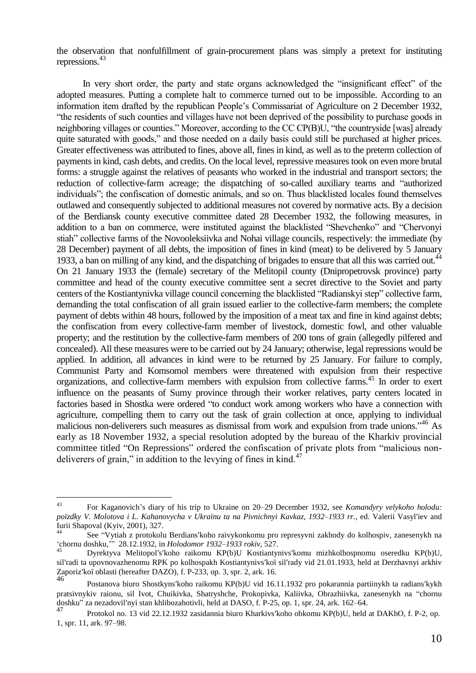the observation that nonfulfillment of grain-procurement plans was simply a pretext for instituting repressions.<sup>43</sup>

In very short order, the party and state organs acknowledged the "insignificant effect" of the adopted measures. Putting a complete halt to commerce turned out to be impossible. According to an information item drafted by the republican People's Commissariat of Agriculture on 2 December 1932, ―the residents of such counties and villages have not been deprived of the possibility to purchase goods in neighboring villages or counties." Moreover, according to the CC CP(B)U, "the countryside [was] already quite saturated with goods," and those needed on a daily basis could still be purchased at higher prices. Greater effectiveness was attributed to fines, above all, fines in kind, as well as to the preterm collection of payments in kind, cash debts, and credits. On the local level, repressive measures took on even more brutal forms: a struggle against the relatives of peasants who worked in the industrial and transport sectors; the reduction of collective-farm acreage; the dispatching of so-called auxiliary teams and "authorized individuals"; the confiscation of domestic animals, and so on. Thus blacklisted locales found themselves outlawed and consequently subjected to additional measures not covered by normative acts. By a decision of the Berdiansk county executive committee dated 28 December 1932, the following measures, in addition to a ban on commerce, were instituted against the blacklisted "Shevchenko" and "Chervonyi stiah" collective farms of the Novooleksiivka and Nohai village councils, respectively: the immediate (by 28 December) payment of all debts, the imposition of fines in kind (meat) to be delivered by 5 January 1933, a ban on milling of any kind, and the dispatching of brigades to ensure that all this was carried out.<sup>44</sup> On 21 January 1933 the (female) secretary of the Melitopil county (Dnipropetrovsk province) party committee and head of the county executive committee sent a secret directive to the Soviet and party centers of the Kostiantynivka village council concerning the blacklisted "Radianskyi step" collective farm, demanding the total confiscation of all grain issued earlier to the collective-farm members; the complete payment of debts within 48 hours, followed by the imposition of a meat tax and fine in kind against debts; the confiscation from every collective-farm member of livestock, domestic fowl, and other valuable property; and the restitution by the collective-farm members of 200 tons of grain (allegedly pilfered and concealed). All these measures were to be carried out by 24 January; otherwise, legal repressions would be applied. In addition, all advances in kind were to be returned by 25 January. For failure to comply, Communist Party and Komsomol members were threatened with expulsion from their respective organizations, and collective-farm members with expulsion from collective farms.<sup>45</sup> In order to exert influence on the peasants of Sumy province through their worker relatives, party centers located in factories based in Shostka were ordered "to conduct work among workers who have a connection with agriculture, compelling them to carry out the task of grain collection at once, applying to individual malicious non-deliverers such measures as dismissal from work and expulsion from trade unions."<sup>46</sup> As early as 18 November 1932, a special resolution adopted by the bureau of the Kharkiv provincial committee titled "On Repressions" ordered the confiscation of private plots from "malicious nondeliverers of grain," in addition to the levying of fines in kind. $47$ 

<sup>43</sup> <sup>43</sup> For Kaganovich's diary of his trip to Ukraine on 20–29 December 1932, see *Komandyry velykoho holodu: poïzdky V. Molotova i L. Kahanovycha v Ukraïnu ta na Pivnichnyi Kavkaz, 1932–1933 rr.*, ed. Valerii Vasyl′iev and Iurii Shapoval (Kyiv, 2001), 327.

See "Vytiah z protokolu Berdians'koho raivykonkomu pro represyvni zakhody do kolhospiv, zanesenykh na ‗chornu doshku,'‖ 28.12.1932, in *Holodomor 1932–1933 rokiv*, 527.

<sup>45</sup> Dyrektyva Melitopol′s′koho raikomu KP(b)U Kostiantynivs′komu mizhkolhospnomu oseredku KP(b)U, sil′radi ta upovnovazhenomu RPK po kolhospakh Kostiantynivs′koї sil′rady vid 21.01.1933, held at Derzhavnyi arkhiv Zaporiz′koї oblasti (hereafter DAZO), f. P-233, op. 3, spr. 2, ark. 16.

<sup>46</sup> Postanova biuro Shostkyns′koho raikomu KP(b)U vid 16.11.1932 pro pokarannia partiinykh ta radians′kykh pratsivnykiv raionu, sil Ivot, Chuikivka, Shatryshche, Prokopivka, Kaliivka, Obrazhiivka, zanesenykh na "chornu doshku‖ za nezadovil′nyi stan khlibozahotivli, held at DASO, f. P-25, op. 1, spr. 24, ark. 162–64.

<sup>47</sup> Protokol no. 13 vid 22.12.1932 zasidannia biuro Kharkivs′koho obkomu KP(b)U, held at DAKhO, f. P-2, op. 1, spr. 11, ark. 97–98.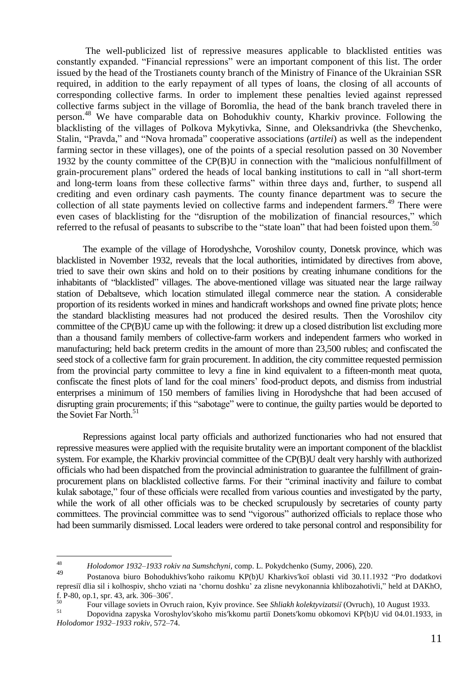The well-publicized list of repressive measures applicable to blacklisted entities was constantly expanded. "Financial repressions" were an important component of this list. The order issued by the head of the Trostianets county branch of the Ministry of Finance of the Ukrainian SSR required, in addition to the early repayment of all types of loans, the closing of all accounts of corresponding collective farms. In order to implement these penalties levied against repressed collective farms subject in the village of Boromlia, the head of the bank branch traveled there in person.<sup>48</sup> We have comparable data on Bohodukhiv county, Kharkiv province. Following the blacklisting of the villages of Polkova Mykytivka, Sinne, and Oleksandrivka (the Shevchenko, Stalin, "Pravda," and "Nova hromada" cooperative associations (*artilei*) as well as the independent farming sector in these villages), one of the points of a special resolution passed on 30 November 1932 by the county committee of the  $CP(B)U$  in connection with the "malicious nonfulfillment of grain-procurement plans" ordered the heads of local banking institutions to call in "all short-term and long-term loans from these collective farms" within three days and, further, to suspend all crediting and even ordinary cash payments. The county finance department was to secure the collection of all state payments levied on collective farms and independent farmers.<sup>49</sup> There were even cases of blacklisting for the "disruption of the mobilization of financial resources," which referred to the refusal of peasants to subscribe to the "state loan" that had been foisted upon them.<sup>50</sup>

The example of the village of Horodyshche, Voroshilov county, Donetsk province, which was blacklisted in November 1932, reveals that the local authorities, intimidated by directives from above, tried to save their own skins and hold on to their positions by creating inhumane conditions for the inhabitants of "blacklisted" villages. The above-mentioned village was situated near the large railway station of Debaltseve, which location stimulated illegal commerce near the station. A considerable proportion of its residents worked in mines and handicraft workshops and owned fine private plots; hence the standard blacklisting measures had not produced the desired results. Then the Voroshilov city committee of the CP(B)U came up with the following: it drew up a closed distribution list excluding more than a thousand family members of collective-farm workers and independent farmers who worked in manufacturing; held back preterm credits in the amount of more than 23,500 rubles; and confiscated the seed stock of a collective farm for grain procurement. In addition, the city committee requested permission from the provincial party committee to levy a fine in kind equivalent to a fifteen-month meat quota, confiscate the finest plots of land for the coal miners' food-product depots, and dismiss from industrial enterprises a minimum of 150 members of families living in Horodyshche that had been accused of disrupting grain procurements; if this "sabotage" were to continue, the guilty parties would be deported to the Soviet Far North.<sup>51</sup>

Repressions against local party officials and authorized functionaries who had not ensured that repressive measures were applied with the requisite brutality were an important component of the blacklist system. For example, the Kharkiv provincial committee of the CP(B)U dealt very harshly with authorized officials who had been dispatched from the provincial administration to guarantee the fulfillment of grainprocurement plans on blacklisted collective farms. For their "criminal inactivity and failure to combat kulak sabotage," four of these officials were recalled from various counties and investigated by the party, while the work of all other officials was to be checked scrupulously by secretaries of county party committees. The provincial committee was to send "vigorous" authorized officials to replace those who had been summarily dismissed. Local leaders were ordered to take personal control and responsibility for

<sup>48</sup> <sup>48</sup> *Holodomor 1932–1933 rokiv na Sumshchyni*, comp. L. Pokydchenko (Sumy, 2006), 220.

<sup>49</sup> Postanova biuro Bohodukhivs′koho raikomu KP(b)U Kharkivs′koї oblasti vid 30*.*11.1932 ―Pro dodatkovi represiï dlia sil i kolhospiv, shcho vziati na 'chornu doshku' za zlisne nevykonannia khlibozahotivli," held at DAKhO, f. P-80, op.1, spr. 43, ark.  $306-306^{\circ}$ .

<sup>50</sup> Four village soviets in Ovruch raion, Kyiv province. See *Shliakh kolektyvizatsiї* (Ovruch), 10 August 1933.

<sup>51</sup> Dopovidna zapyska Voroshylov′skoho mis′kkomu partiї Donets′komu obkomovi KP(b)U vid 04.01.1933, in *Holodomor 1932–1933 rokiv*, 572–74.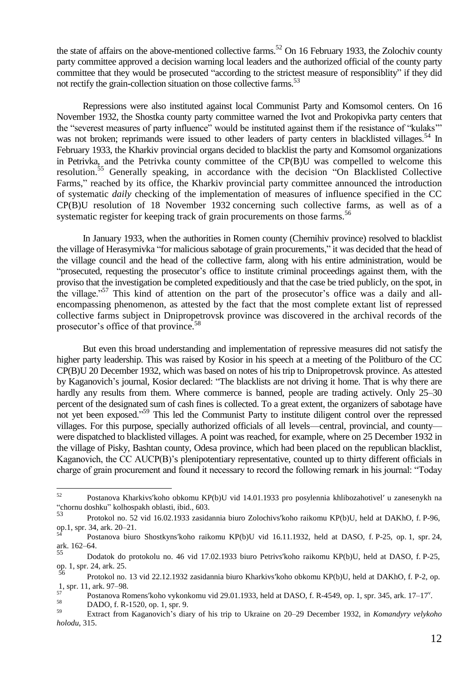the state of affairs on the above-mentioned collective farms.<sup>52</sup> On 16 February 1933, the Zolochiv county party committee approved a decision warning local leaders and the authorized official of the county party committee that they would be prosecuted "according to the strictest measure of responsibility" if they did not rectify the grain-collection situation on those collective farms.<sup>53</sup>

Repressions were also instituted against local Communist Party and Komsomol centers. On 16 November 1932, the Shostka county party committee warned the Ivot and Prokopivka party centers that the "severest measures of party influence" would be instituted against them if the resistance of "kulaks"" was not broken; reprimands were issued to other leaders of party centers in blacklisted villages.<sup>54</sup> In February 1933, the Kharkiv provincial organs decided to blacklist the party and Komsomol organizations in Petrivka, and the Petrivka county committee of the CP(B)U was compelled to welcome this resolution.<sup>55</sup> Generally speaking, in accordance with the decision "On Blacklisted Collective Farms," reached by its office, the Kharkiv provincial party committee announced the introduction of systematic *daily* checking of the implementation of measures of influence specified in the CC CP(B)U resolution of 18 November 1932 concerning such collective farms, as well as of a systematic register for keeping track of grain procurements on those farms.<sup>56</sup>

In January 1933, when the authorities in Romen county (Chernihiv province) resolved to blacklist the village of Herasymivka "for malicious sabotage of grain procurements," it was decided that the head of the village council and the head of the collective farm, along with his entire administration, would be "prosecuted, requesting the prosecutor's office to institute criminal proceedings against them, with the proviso that the investigation be completed expeditiously and that the case be tried publicly, on the spot, in the village.<sup> $57$ </sup> This kind of attention on the part of the prosecutor's office was a daily and allencompassing phenomenon, as attested by the fact that the most complete extant list of repressed collective farms subject in Dnipropetrovsk province was discovered in the archival records of the prosecutor's office of that province.<sup>58</sup>

But even this broad understanding and implementation of repressive measures did not satisfy the higher party leadership. This was raised by Kosior in his speech at a meeting of the Politburo of the CC CP(B)U 20 December 1932, which was based on notes of his trip to Dnipropetrovsk province. As attested by Kaganovich's journal, Kosior declared: "The blacklists are not driving it home. That is why there are hardly any results from them. Where commerce is banned, people are trading actively. Only 25–30 percent of the designated sum of cash fines is collected. To a great extent, the organizers of sabotage have not yet been exposed."<sup>59</sup> This led the Communist Party to institute diligent control over the repressed villages. For this purpose, specially authorized officials of all levels—central, provincial, and county were dispatched to blacklisted villages. A point was reached, for example, where on 25 December 1932 in the village of Pisky, Bashtan county, Odesa province, which had been placed on the republican blacklist, Kaganovich, the CC AUCP(B)'s plenipotentiary representative, counted up to thirty different officials in charge of grain procurement and found it necessary to record the following remark in his journal: "Today"

<sup>52</sup> <sup>52</sup> Postanova Kharkivs′koho obkomu KP(b)U vid 14.01.1933 pro posylennia khlibozahotivel′ u zanesenykh na ―chornu doshku‖ kolhospakh oblasti, ibid., 603.

<sup>53</sup> Protokol no. 52 vid 16.02.1933 zasidannia biuro Zolochivs′koho raikomu KP(b)U, held at DAKhO, f. P-96, op.1, spr. 34, ark. 20–21.

<sup>54</sup> Postanova biuro Shostkyns′koho raikomu KP(b)U vid 16.11.1932, held at DASO, f. P-25, op. 1, spr. 24, ark. 162–64.

<sup>55</sup> Dodatok do protokolu no. 46 vid 17.02.1933 biuro Petrivs′koho raikomu KP(b)U, held at DASO, f. P-25, op. 1, spr. 24, ark. 25.

<sup>56</sup> Protokol no. 13 vid 22.12.1932 zasidannia biuro Kharkivs′koho obkomu KP(b)U, held at DAKhO, f. P-2, op.  $\frac{1}{57}$ , spr. 11, ark. 97–98.

 $^{57}$  Postanova Romens' koho vykonkomu vid 29.01.1933, held at DASO, f. R-4549, op. 1, spr. 345, ark. 17–17'.

 $58$  DADO, f. R-1520, op. 1, spr. 9.

<sup>59</sup> Extract from Kaganovich's diary of his trip to Ukraine on 20–29 December 1932, in *Komandyry velykoho holodu*, 315.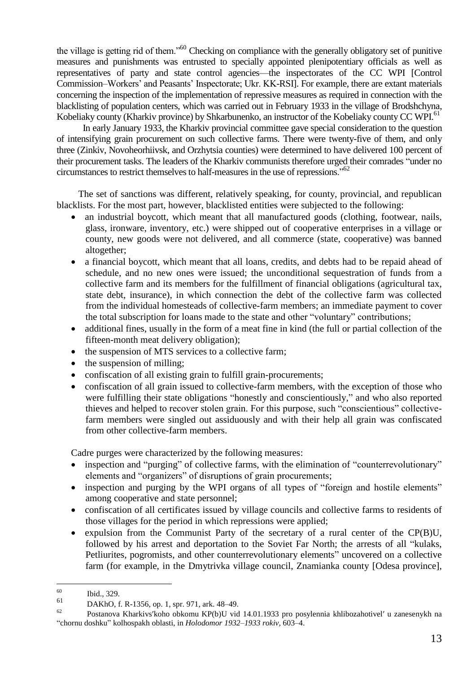the village is getting rid of them.<sup>50</sup> Checking on compliance with the generally obligatory set of punitive measures and punishments was entrusted to specially appointed plenipotentiary officials as well as representatives of party and state control agencies—the inspectorates of the CC WPI [Control Commission–Workers' and Peasants' Inspectorate; Ukr. KK-RSI]. For example, there are extant materials concerning the inspection of the implementation of repressive measures as required in connection with the blacklisting of population centers, which was carried out in February 1933 in the village of Brodshchyna, Kobeliaky county (Kharkiv province) by Shkarbunenko, an instructor of the Kobeliaky county CC WPI.<sup>61</sup>

In early January 1933, the Kharkiv provincial committee gave special consideration to the question of intensifying grain procurement on such collective farms. There were twenty-five of them, and only three (Zinkiv, Novoheorhiivsk, and Orzhytsia counties) were determined to have delivered 100 percent of their procurement tasks. The leaders of the Kharkiv communists therefore urged their comrades "under no circumstances to restrict themselves to half-measures in the use of repressions.<sup> $,62$ </sup>

The set of sanctions was different, relatively speaking, for county, provincial, and republican blacklists. For the most part, however, blacklisted entities were subjected to the following:

- an industrial boycott, which meant that all manufactured goods (clothing, footwear, nails, glass, ironware, inventory, etc.) were shipped out of cooperative enterprises in a village or county, new goods were not delivered, and all commerce (state, cooperative) was banned altogether;
- a financial boycott, which meant that all loans, credits, and debts had to be repaid ahead of schedule, and no new ones were issued; the unconditional sequestration of funds from a collective farm and its members for the fulfillment of financial obligations (agricultural tax, state debt, insurance), in which connection the debt of the collective farm was collected from the individual homesteads of collective-farm members; an immediate payment to cover the total subscription for loans made to the state and other "voluntary" contributions;
- additional fines, usually in the form of a meat fine in kind (the full or partial collection of the fifteen-month meat delivery obligation);
- the suspension of MTS services to a collective farm;
- the suspension of milling;
- confiscation of all existing grain to fulfill grain-procurements;
- confiscation of all grain issued to collective-farm members, with the exception of those who were fulfilling their state obligations "honestly and conscientiously," and who also reported thieves and helped to recover stolen grain. For this purpose, such "conscientious" collectivefarm members were singled out assiduously and with their help all grain was confiscated from other collective-farm members.

Cadre purges were characterized by the following measures:

- inspection and "purging" of collective farms, with the elimination of "counterrevolutionary" elements and "organizers" of disruptions of grain procurements;
- inspection and purging by the WPI organs of all types of "foreign and hostile elements" among cooperative and state personnel;
- confiscation of all certificates issued by village councils and collective farms to residents of those villages for the period in which repressions were applied;
- expulsion from the Communist Party of the secretary of a rural center of the CP(B)U, followed by his arrest and deportation to the Soviet Far North; the arrests of all "kulaks, Petliurites, pogromists, and other counterrevolutionary elements" uncovered on a collective farm (for example, in the Dmytrivka village council, Znamianka county [Odesa province],

<sup>60</sup>  $\begin{array}{c}\n 60 \\
61\n \end{array}$  Ibid., 329.

 $^{61}$  DAKhO, f. R-1356, op. 1, spr. 971, ark. 48–49.

Postanova Kharkivs'koho obkomu KP(b)U vid 14.01.1933 pro posylennia khlibozahotivel' u zanesenykh na ―chornu doshku‖ kolhospakh oblasti, in *Holodomor 1932–1933 rokiv*, 603–4.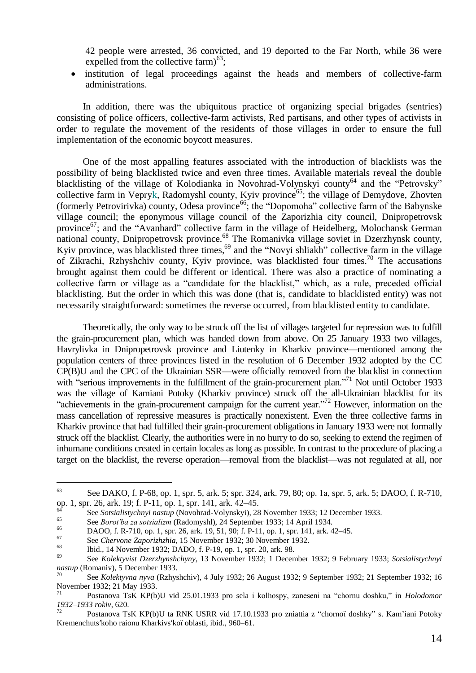42 people were arrested, 36 convicted, and 19 deported to the Far North, while 36 were expelled from the collective  $\text{farm}\right)^{63}$ ;

 institution of legal proceedings against the heads and members of collective-farm administrations.

In addition, there was the ubiquitous practice of organizing special brigades (sentries) consisting of police officers, collective-farm activists, Red partisans, and other types of activists in order to regulate the movement of the residents of those villages in order to ensure the full implementation of the economic boycott measures.

One of the most appalling features associated with the introduction of blacklists was the possibility of being blacklisted twice and even three times. Available materials reveal the double blacklisting of the village of Kolodianka in Novohrad-Volynskyi county<sup>64</sup> and the "Petrovsky" collective farm in Vepryk, Radomyshl county, Kyiv province<sup>65</sup>; the village of Demydove, Zhovten (formerly Petrovirivka) county, Odesa province<sup>66</sup>; the "Dopomoha" collective farm of the Babynske village council; the eponymous village council of the Zaporizhia city council, Dnipropetrovsk province<sup>67</sup>; and the "Avanhard" collective farm in the village of Heidelberg, Molochansk German national county, Dnipropetrovsk province.<sup>68</sup> The Romanivka village soviet in Dzerzhynsk county, Kyiv province, was blacklisted three times,<sup>69</sup> and the "Novyi shliakh" collective farm in the village of Zikrachi, Rzhyshchiv county, Kyiv province, was blacklisted four times.<sup>70</sup> The accusations brought against them could be different or identical. There was also a practice of nominating a collective farm or village as a "candidate for the blacklist," which, as a rule, preceded official blacklisting. But the order in which this was done (that is, candidate to blacklisted entity) was not necessarily straightforward: sometimes the reverse occurred, from blacklisted entity to candidate.

Theoretically, the only way to be struck off the list of villages targeted for repression was to fulfill the grain-procurement plan, which was handed down from above. On 25 January 1933 two villages, Havrylivka in Dnipropetrovsk province and Liutenky in Kharkiv province—mentioned among the population centers of three provinces listed in the resolution of 6 December 1932 adopted by the CC CP(B)U and the CPC of the Ukrainian SSR—were officially removed from the blacklist in connection with "serious improvements in the fulfillment of the grain-procurement plan."<sup>71</sup> Not until October 1933 was the village of Kamiani Potoky (Kharkiv province) struck off the all-Ukrainian blacklist for its "achievements in the grain-procurement campaign for the current year."<sup>72</sup> However, information on the mass cancellation of repressive measures is practically nonexistent. Even the three collective farms in Kharkiv province that had fulfilled their grain-procurement obligations in January 1933 were not formally struck off the blacklist. Clearly, the authorities were in no hurry to do so, seeking to extend the regimen of inhumane conditions created in certain locales as long as possible. In contrast to the procedure of placing a target on the blacklist, the reverse operation—removal from the blacklist—was not regulated at all, nor

l

<sup>63</sup> See DAKO, f. P-68, op. 1, spr. 5, ark. 5; spr. 324, ark. 79, 80; op. 1а, spr. 5, ark. 5; DAOO, f. R-710, op. 1, spr. 26, ark. 19; f. P-11, op. 1, spr. 141, ark. 42–45.

<sup>64</sup> See *Sotsialistychnyi nastup* (Novohrad-Volynskyi), 28 November 1933; 12 December 1933.

<sup>65</sup> See *Borot'ba za sotsializm* (Radomyshl), 24 September 1933; 14 April 1934.

<sup>66</sup> DAOO, f. R-710, op. 1, spr. 26, ark. 19, 51, 90; f. P-11, op. 1, spr. 141, ark. 42–45.

<sup>67</sup> See *Chervone Zaporizhzhia*, 15 November 1932; 30 November 1932.

<sup>&</sup>lt;sup>68</sup> Ibid., 14 November 1932; DADO, f. P-19, op. 1, spr. 20, ark. 98.<br><sup>69</sup> See Kalakusist Developmek during 13 November 1932; 1 Decem

<sup>69</sup> See *Kolektyvist Dzerzhynshchyny*, 13 November 1932; 1 December 1932; 9 February 1933; *Sotsialistychnyi nastup* (Romaniv), 5 December 1933.

<sup>70</sup> See *Kolektyvna nyva* (Rzhyshchiv), 4 July 1932; 26 August 1932; 9 September 1932; 21 September 1932; 16 November 1932; 21 May 1933.

Postanova TsK KP(b)U vid 25.01.1933 pro sela i kolhospy, zaneseni na "chornu doshku," in *Holodomor 1932–1933 rokiv*, 620.

Postanova TsK KP(b)U ta RNK USRR vid 17.10.1933 pro zniattia z "chornoï doshky" s. Kam'iani Potoky Kremenchuts′koho raionu Kharkivs′koї oblasti, ibid., 960–61.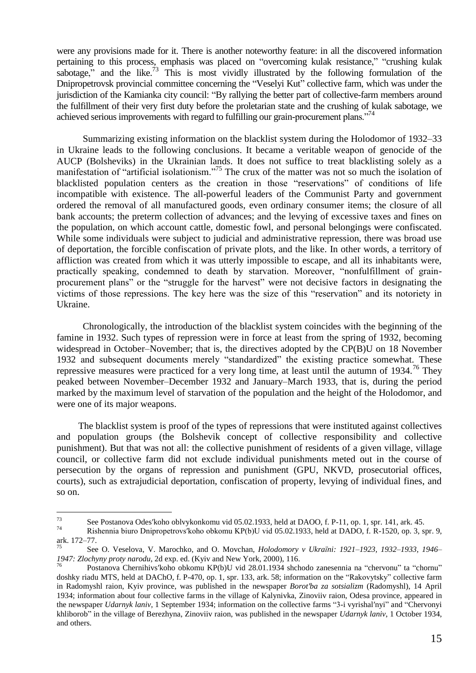were any provisions made for it. There is another noteworthy feature: in all the discovered information pertaining to this process, emphasis was placed on "overcoming kulak resistance," "crushing kulak sabotage," and the like.<sup>73</sup> This is most vividly illustrated by the following formulation of the Dnipropetrovsk provincial committee concerning the "Veselyi Kut" collective farm, which was under the jurisdiction of the Kamianka city council: "By rallying the better part of collective-farm members around the fulfillment of their very first duty before the proletarian state and the crushing of kulak sabotage, we achieved serious improvements with regard to fulfilling our grain-procurement plans.<sup>774</sup>

Summarizing existing information on the blacklist system during the Holodomor of 1932–33 in Ukraine leads to the following conclusions. It became a veritable weaроn of genocide of the AUCP (Bolsheviks) in the Ukrainian lands. It does not suffice to treat blacklisting solely as a manifestation of "artificial isolationism."<sup>75</sup> The crux of the matter was not so much the isolation of blacklisted population centers as the creation in those "reservations" of conditions of life incompatible with existence. The all-powerful leaders of the Communist Party and government ordered the removal of all manufactured goods, even ordinary consumer items; the closure of all bank accounts; the preterm collection of advances; and the levying of excessive taxes and fines on the population, on which account cattle, domestic fowl, and personal belongings were confiscated. While some individuals were subject to judicial and administrative repression, there was broad use of deportation, the forcible confiscation of private plots, and the like. In other words, a territory of affliction was created from which it was utterly impossible to escape, and all its inhabitants were, practically speaking, condemned to death by starvation. Moreover, "nonfulfillment of grainprocurement plans" or the "struggle for the harvest" were not decisive factors in designating the victims of those repressions. The key here was the size of this "reservation" and its notoriety in Ukraine.

Chronologically, the introduction of the blacklist system coincides with the beginning of the famine in 1932. Such types of repression were in force at least from the spring of 1932, becoming widespread in October–November; that is, the directives adopted by the CP(B)U on 18 November 1932 and subsequent documents merely "standardized" the existing practice somewhat. These repressive measures were practiced for a very long time, at least until the autumn of  $1934$ .<sup>76</sup> They peaked between November–December 1932 and January–March 1933, that is, during the period marked by the maximum level of starvation of the population and the height of the Holodomor, and were one of its major weapons.

The blacklist system is proof of the types of repressions that were instituted against collectives and population groups (the Bolshevik concept of collective responsibility and collective punishment). But that was not all: the collective punishment of residents of a given village, village council, or collective farm did not exclude individual punishments meted out in the course of persecution by the organs of repression and punishment (GPU, NKVD, prosecutorial offices, courts), such as extrajudicial deportation, confiscation of property, levying of individual fines, and so on.

 $73$ <sup>73</sup> See Postanova Odes'koho oblvykonkomu vid 05.02.1933, held at DAOO, f. P-11, op. 1, spr. 141, ark. 45.<br>Pichamia hivro Dringenetrausliche oblemu KB(b)U vid 05.02.1922, held at DADO, f. B. 1520, op. 2, and

<sup>74</sup> Rishennia biuro Dnipropetrovs′koho obkomu KP(b)U vid 05.02.1933, held at DADO, f. R-1520, op. 3, spr. 9, ark. 172–77.

<sup>75</sup> See O. Veselova, V. Marochko, and O. Movchan, *Holodomory v Ukraїni: 1921–1923, 1932–1933, 1946– 1947: Zlochyny proty narodu*, 2d exp. ed. (Kyiv and New York, 2000), 116.

Postanova Chernihivs'koho obkomu KP(b)U vid 28.01.1934 shchodo zanesennia na "chervonu" ta "chornu" doshky riadu MTS, held at DAChO, f. P-470, op. 1, spr. 133, ark. 58; information on the "Rakovytsky" collective farm in Radomyshl raion, Kyiv province, was published in the newspaper *Borot′ba za sotsializm* (Radomyshl), 14 April 1934; information about four collective farms in the village of Kalynivka, Zinoviiv raion, Odesa province, appeared in the newspaper *Udarnyk laniv*, 1 September 1934; information on the collective farms "3-i vyrishal'nyi" and "Chervonyi khliborob‖ in the village of Berezhyna, Zinoviiv raion, was published in the newspaper *Udarnyk laniv*, 1 October 1934, and others.